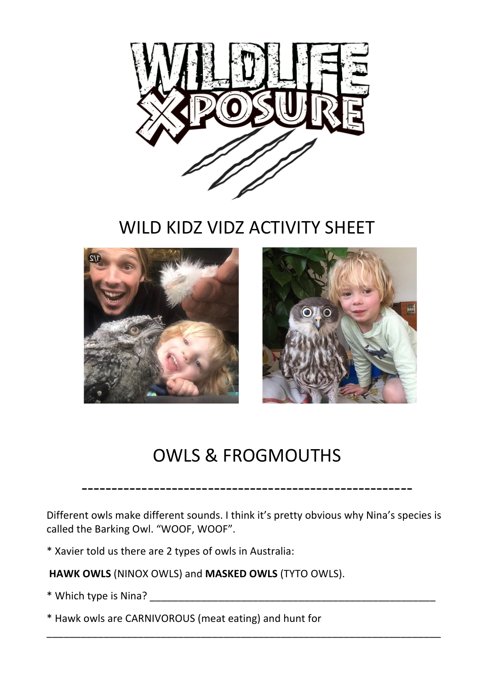

WILD KIDZ VIDZ ACTIVITY SHEET



## OWLS & FROGMOUTHS

-------------------------------------------------------

Different owls make different sounds. I think it's pretty obvious why Nina's species is called the Barking Owl. "WOOF, WOOF".

\_\_\_\_\_\_\_\_\_\_\_\_\_\_\_\_\_\_\_\_\_\_\_\_\_\_\_\_\_\_\_\_\_\_\_\_\_\_\_\_\_\_\_\_\_\_\_\_\_\_\_\_\_\_\_\_\_\_\_\_\_\_\_\_\_\_\_\_\_

\* Xavier told us there are 2 types of owls in Australia:

**HAWK OWLS** (NINOX OWLS) and **MASKED OWLS** (TYTO OWLS).

\* Which type is Nina? \_\_\_\_\_\_\_\_\_\_\_\_\_\_\_\_\_\_\_\_\_\_\_\_\_\_\_\_\_\_\_\_\_\_\_\_\_\_\_\_\_\_\_\_\_\_\_\_\_\_

\* Hawk owls are CARNIVOROUS (meat eating) and hunt for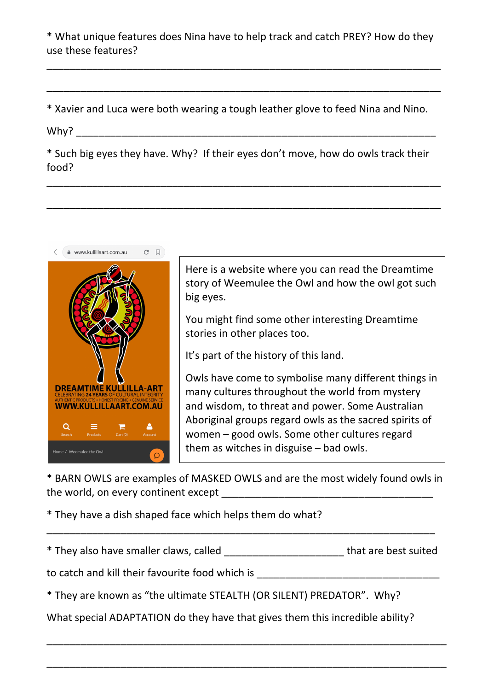\* What unique features does Nina have to help track and catch PREY? How do they use these features?

\_\_\_\_\_\_\_\_\_\_\_\_\_\_\_\_\_\_\_\_\_\_\_\_\_\_\_\_\_\_\_\_\_\_\_\_\_\_\_\_\_\_\_\_\_\_\_\_\_\_\_\_\_\_\_\_\_\_\_\_\_\_\_\_\_\_\_\_\_

\_\_\_\_\_\_\_\_\_\_\_\_\_\_\_\_\_\_\_\_\_\_\_\_\_\_\_\_\_\_\_\_\_\_\_\_\_\_\_\_\_\_\_\_\_\_\_\_\_\_\_\_\_\_\_\_\_\_\_\_\_\_\_\_\_\_\_\_\_

\* Xavier and Luca were both wearing a tough leather glove to feed Nina and Nino.

Why? \_\_\_\_\_\_\_\_\_\_\_\_\_\_\_\_\_\_\_\_\_\_\_\_\_\_\_\_\_\_\_\_\_\_\_\_\_\_\_\_\_\_\_\_\_\_\_\_\_\_\_\_\_\_\_\_\_\_\_\_\_\_\_

\* Such big eyes they have. Why? If their eyes don't move, how do owls track their food? 

\_\_\_\_\_\_\_\_\_\_\_\_\_\_\_\_\_\_\_\_\_\_\_\_\_\_\_\_\_\_\_\_\_\_\_\_\_\_\_\_\_\_\_\_\_\_\_\_\_\_\_\_\_\_\_\_\_\_\_\_\_\_\_\_\_\_\_\_\_

\_\_\_\_\_\_\_\_\_\_\_\_\_\_\_\_\_\_\_\_\_\_\_\_\_\_\_\_\_\_\_\_\_\_\_\_\_\_\_\_\_\_\_\_\_\_\_\_\_\_\_\_\_\_\_\_\_\_\_\_\_\_\_\_\_\_\_\_\_



Here is a website where you can read the Dreamtime story of Weemulee the Owl and how the owl got such big eyes.

You might find some other interesting Dreamtime stories in other places too.

It's part of the history of this land.

Owls have come to symbolise many different things in many cultures throughout the world from mystery and wisdom, to threat and power. Some Australian Aboriginal groups regard owls as the sacred spirits of women  $-$  good owls. Some other cultures regard them as witches in disguise  $-$  bad owls.

\* BARN OWLS are examples of MASKED OWLS and are the most widely found owls in the world, on every continent except  $\Box$ 

\* They have a dish shaped face which helps them do what?

| * They also have smaller claws, called | that are best suited |
|----------------------------------------|----------------------|
|----------------------------------------|----------------------|

\_\_\_\_\_\_\_\_\_\_\_\_\_\_\_\_\_\_\_\_\_\_\_\_\_\_\_\_\_\_\_\_\_\_\_\_\_\_\_\_\_\_\_\_\_\_\_\_\_\_\_\_\_\_\_\_\_\_\_\_\_\_\_\_\_\_\_\_

to catch and kill their favourite food which is \_\_\_\_\_\_\_\_\_\_\_\_\_\_\_\_\_\_\_\_\_\_\_\_\_\_\_\_\_\_\_\_\_

\* They are known as "the ultimate STEALTH (OR SILENT) PREDATOR". Why?

What special ADAPTATION do they have that gives them this incredible ability?

\_\_\_\_\_\_\_\_\_\_\_\_\_\_\_\_\_\_\_\_\_\_\_\_\_\_\_\_\_\_\_\_\_\_\_\_\_\_\_\_\_\_\_\_\_\_\_\_\_\_\_\_\_\_\_\_\_\_\_\_\_\_\_\_\_\_\_\_\_\_

\_\_\_\_\_\_\_\_\_\_\_\_\_\_\_\_\_\_\_\_\_\_\_\_\_\_\_\_\_\_\_\_\_\_\_\_\_\_\_\_\_\_\_\_\_\_\_\_\_\_\_\_\_\_\_\_\_\_\_\_\_\_\_\_\_\_\_\_\_\_